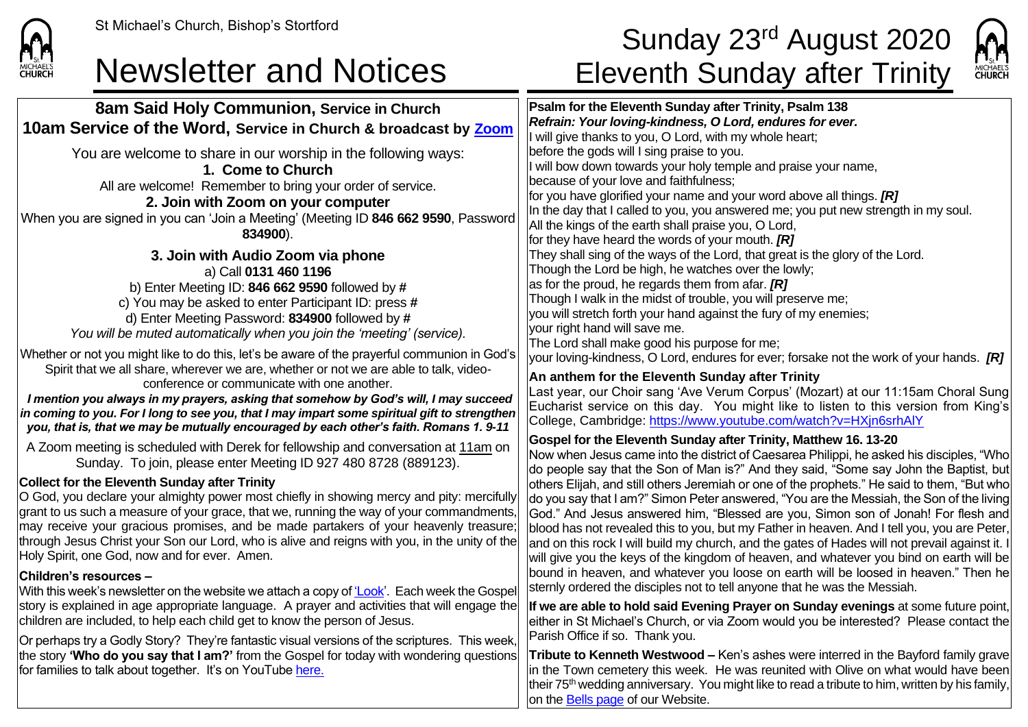

**1. Come to Church**

**2. Join with Zoom on your computer**

**834900**).

## St Michael's Church, Bishop's Stortford **Sunday 23<sup>rd</sup> August 2020** Newsletter and Notices Eleventh Sunday after Trinity



**8am Said Holy Communion, Service in Church 10am Service of the Word, Service in Church & broadcast by [Zoom](https://zoom.us/)** You are welcome to share in our worship in the following ways: All are welcome! Remember to bring your order of service. When you are signed in you can 'Join a Meeting' (Meeting ID **846 662 9590**, Password **Psalm for the Eleventh Sunday after Trinity, Psalm 138** *Refrain: Your loving-kindness, O Lord, endures for ever.* I will give thanks to you, O Lord, with my whole heart; before the gods will I sing praise to you. I will bow down towards your holy temple and praise your name, because of your love and faithfulness; for you have glorified your name and your word above all things. *[R]* In the day that I called to you, you answered me; you put new strength in my soul. All the kings of the earth shall praise you, O Lord, for they have heard the words of your mouth. *[R]* They shall sing of the ways of the Lord, that great is the glory of the Lord. Though the Lord be high, he watches over the lowly; as for the proud, he regards them from afar. *[R]* Though I walk in the midst of trouble, you will preserve me; you will stretch forth your hand against the fury of my enemies; your right hand will save me. The Lord shall make good his purpose for me; your loving-kindness, O Lord, endures for ever; forsake not the work of your hands. *[R]* **An anthem for the Eleventh Sunday after Trinity** Last year, our Choir sang 'Ave Verum Corpus' (Mozart) at our 11:15am Choral Sung Eucharist service on this day. You might like to listen to this version from King's College, Cambridge:<https://www.youtube.com/watch?v=HXjn6srhAlY> **Gospel for the Eleventh Sunday after Trinity, Matthew 16. 13-20** Now when Jesus came into the district of Caesarea Philippi, he asked his disciples, "Who do people say that the Son of Man is?" And they said, "Some say John the Baptist, but others Elijah, and still others Jeremiah or one of the prophets." He said to them, "But who do you say that I am?" Simon Peter answered, "You are the Messiah, the Son of the living God." And Jesus answered him, "Blessed are you, Simon son of Jonah! For flesh and blood has not revealed this to you, but my Father in heaven. And I tell you, you are Peter, and on this rock I will build my church, and the gates of Hades will not prevail against it. I will give you the keys of the kingdom of heaven, and whatever you bind on earth will be bound in heaven, and whatever you loose on earth will be loosed in heaven." Then he sternly ordered the disciples not to tell anyone that he was the Messiah. **If we are able to hold said Evening Prayer on Sunday evenings** at some future point,

either in St Michael's Church, or via Zoom would you be interested? Please contact the Parish Office if so. Thank you.

**Tribute to Kenneth Westwood –** Ken's ashes were interred in the Bayford family grave in the Town cemetery this week. He was reunited with Olive on what would have been their  $75<sup>th</sup>$  wedding anniversary. You might like to read a tribute to him, written by his family, on the [Bells page](https://saintmichaelweb.org.uk/Groups/310527/Bells_and_Bells.aspx) of our Website.

**3. Join with Audio Zoom via phone** a) Call **0131 460 1196** b) Enter Meeting ID: **846 662 9590** followed by **#** c) You may be asked to enter Participant ID: press **#** d) Enter Meeting Password: **834900** followed by **#** *You will be muted automatically when you join the 'meeting' (service).*

Whether or not you might like to do this, let's be aware of the prayerful communion in God's Spirit that we all share, wherever we are, whether or not we are able to talk, videoconference or communicate with one another.

*I mention you always in my prayers, asking that somehow by God's will, I may succeed in coming to you. For I long to see you, that I may impart some spiritual gift to strengthen you, that is, that we may be mutually encouraged by each other's faith. Romans 1. 9-11*

A Zoom meeting is scheduled with Derek for fellowship and conversation at 11am on Sunday. To join, please enter Meeting ID 927 480 8728 (889123).

### **Collect for the Eleventh Sunday after Trinity**

O God, you declare your almighty power most chiefly in showing mercy and pity: mercifully grant to us such a measure of your grace, that we, running the way of your commandments, may receive your gracious promises, and be made partakers of your heavenly treasure; through Jesus Christ your Son our Lord, who is alive and reigns with you, in the unity of the Holy Spirit, one God, now and for ever. Amen.

### **Children's resources –**

With this week's newsletter on the website we attach a copy o[f 'Look'.](https://saintmichaelweb.org.uk/Articles/542815/_Newsletter.aspx) Each week the Gospel story is explained in age appropriate language. A prayer and activities that will engage the children are included, to help each child get to know the person of Jesus.

Or perhaps try a Godly Story? They're fantastic visual versions of the scriptures. This week, the story **'Who do you say that I am?'** from the Gospel for today with wondering questions for families to talk about together. It's on YouTube [here.](https://www.youtube.com/watch?v=CyDQAUctFaQ)